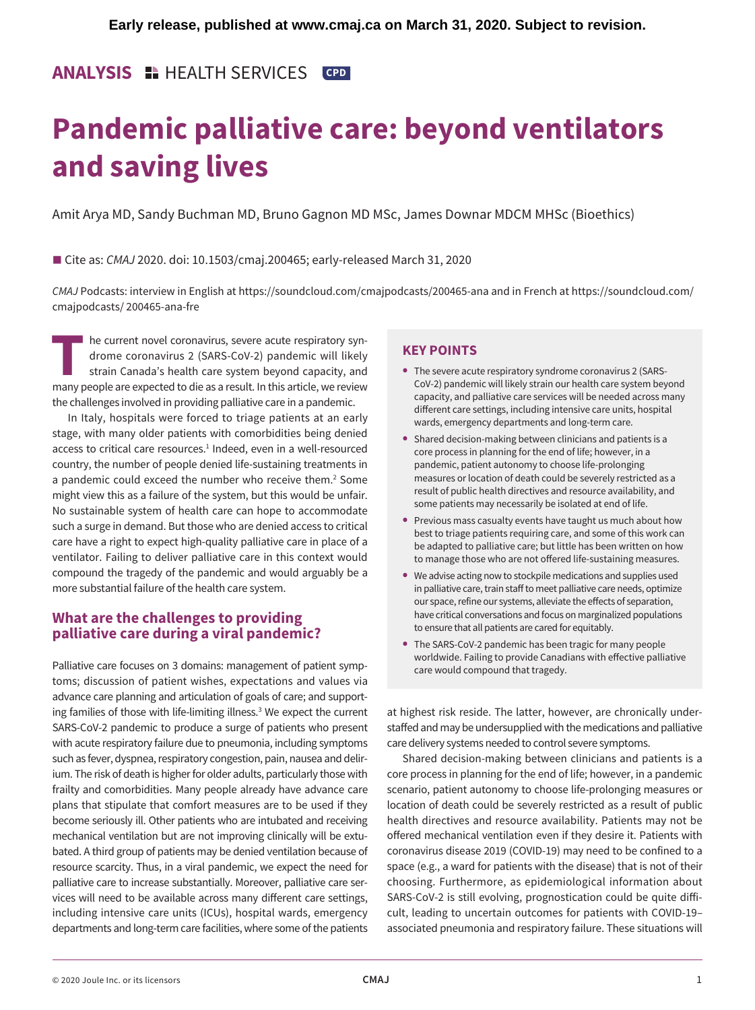# **ANALYSIS** HEALTH SERVICES **CPD**

# **Pandemic palliative care: beyond ventilators and saving lives**

Amit Arya MD, Sandy Buchman MD, Bruno Gagnon MD MSc, James Downar MDCM MHSc (Bioethics)

# ■ Cite as: *CMAJ* 2020. doi: 10.1503/cmaj.200465; early-released March 31, 2020

*CMAJ* Podcasts: interview in English at https://soundcloud.com/cmajpodcasts/200465-ana and in French at https://soundcloud.com/ cmajpodcasts/ 200465-ana-fre

**THE FR** he current novel coronavirus, severe acute respiratory syn-<br>drome coronavirus 2 (SARS-CoV-2) pandemic will likely<br>strain Canada's health care system beyond capacity, and<br>many people are expected to die as a result drome coronavirus 2 (SARS-CoV-2) pandemic will likely strain Canada's health care system beyond capacity, and many people are expected to die as a result. In this article, we review the challenges involved in providing palliative care in a pandemic.

In Italy, hospitals were forced to triage patients at an early stage, with many older patients with comorbidities being denied access to critical care resources.<sup>1</sup> Indeed, even in a well-resourced country, the number of people denied life-sustaining treatments in a pandemic could exceed the number who receive them.<sup>2</sup> Some might view this as a failure of the system, but this would be unfair. No sustainable system of health care can hope to accommodate such a surge in demand. But those who are denied access to critical care have a right to expect high-quality palliative care in place of a ventilator. Failing to deliver palliative care in this context would compound the tragedy of the pandemic and would arguably be a more substantial failure of the health care system.

# **What are the challenges to providing palliative care during a viral pandemic?**

Palliative care focuses on 3 domains: management of patient symptoms; discussion of patient wishes, expectations and values via advance care planning and articulation of goals of care; and supporting families of those with life-limiting illness.<sup>3</sup> We expect the current SARS-CoV-2 pandemic to produce a surge of patients who present with acute respiratory failure due to pneumonia, including symptoms such as fever, dyspnea, respiratory congestion, pain, nausea and delirium. The risk of death is higher for older adults, particularly those with frailty and comorbidities. Many people already have advance care plans that stipulate that comfort measures are to be used if they become seriously ill. Other patients who are intubated and receiving mechanical ventilation but are not improving clinically will be extubated. A third group of patients may be denied ventilation because of resource scarcity. Thus, in a viral pandemic, we expect the need for palliative care to increase substantially. Moreover, palliative care services will need to be available across many different care settings, including intensive care units (ICUs), hospital wards, emergency departments and long-term care facilities, where some of the patients

# **KEY POINTS**

- **•** The severe acute respiratory syndrome coronavirus 2 (SARS-CoV-2) pandemic will likely strain our health care system beyond capacity, and palliative care services will be needed across many different care settings, including intensive care units, hospital wards, emergency departments and long-term care.
- **•** Shared decision-making between clinicians and patients is a core process in planning for the end of life; however, in a pandemic, patient autonomy to choose life-prolonging measures or location of death could be severely restricted as a result of public health directives and resource availability, and some patients may necessarily be isolated at end of life.
- **•** Previous mass casualty events have taught us much about how best to triage patients requiring care, and some of this work can be adapted to palliative care; but little has been written on how to manage those who are not offered life-sustaining measures.
- **•** We advise acting now to stockpile medications and supplies used in palliative care, train staff to meet palliative care needs, optimize our space, refine our systems, alleviate the effects of separation, have critical conversations and focus on marginalized populations to ensure that all patients are cared for equitably.
- **•** The SARS-CoV-2 pandemic has been tragic for many people worldwide. Failing to provide Canadians with effective palliative care would compound that tragedy.

at highest risk reside. The latter, however, are chronically understaffed and may be undersupplied with the medications and palliative care delivery systems needed to control severe symptoms.

Shared decision-making between clinicians and patients is a core process in planning for the end of life; however, in a pandemic scenario, patient autonomy to choose life-prolonging measures or location of death could be severely restricted as a result of public health directives and resource availability. Patients may not be offered mechanical ventilation even if they desire it. Patients with coronavirus disease 2019 (COVID-19) may need to be confined to a space (e.g., a ward for patients with the disease) that is not of their choosing. Furthermore, as epidemiological information about SARS-CoV-2 is still evolving, prognostication could be quite difficult, leading to uncertain outcomes for patients with COVID-19– associated pneumonia and respiratory failure. These situations will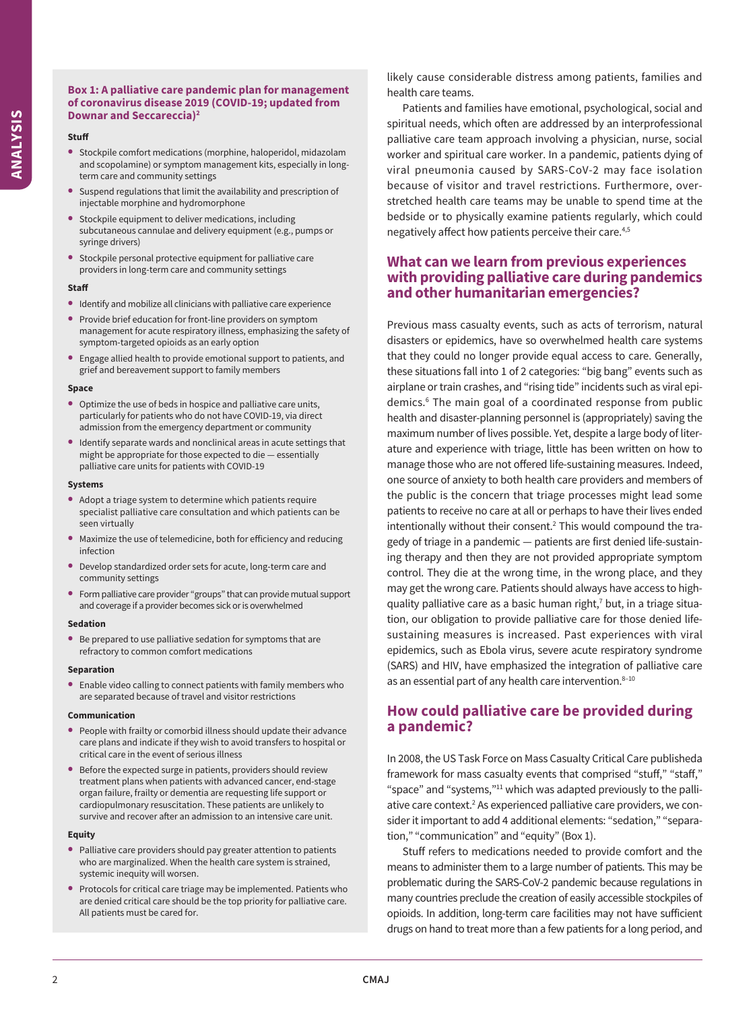## **Box 1: A palliative care pandemic plan for management of coronavirus disease 2019 (COVID-19; updated from Downar and Seccareccia)2**

#### **Stuff**

- **•** Stockpile comfort medications (morphine, haloperidol, midazolam and scopolamine) or symptom management kits, especially in longterm care and community settings
- **•** Suspend regulations that limit the availability and prescription of injectable morphine and hydromorphone
- **•** Stockpile equipment to deliver medications, including subcutaneous cannulae and delivery equipment (e.g., pumps or syringe drivers)
- **•** Stockpile personal protective equipment for palliative care providers in long-term care and community settings

#### **Staff**

- **•** Identify and mobilize all clinicians with palliative care experience
- **•** Provide brief education for front-line providers on symptom management for acute respiratory illness, emphasizing the safety of symptom-targeted opioids as an early option
- **•** Engage allied health to provide emotional support to patients, and grief and bereavement support to family members

#### **Space**

- **•** Optimize the use of beds in hospice and palliative care units, particularly for patients who do not have COVID-19, via direct admission from the emergency department or community
- **•** Identify separate wards and nonclinical areas in acute settings that might be appropriate for those expected to die — essentially palliative care units for patients with COVID-19

#### **Systems**

- **•** Adopt a triage system to determine which patients require specialist palliative care consultation and which patients can be seen virtually
- **•** Maximize the use of telemedicine, both for efficiency and reducing infection
- **•** Develop standardized order sets for acute, long-term care and community settings
- **•** Form palliative care provider "groups" that can provide mutual support and coverage if a provider becomes sick or is overwhelmed

#### **Sedation**

**•** Be prepared to use palliative sedation for symptoms that are refractory to common comfort medications

#### **Separation**

**•** Enable video calling to connect patients with family members who are separated because of travel and visitor restrictions

#### **Communication**

- **•** People with frailty or comorbid illness should update their advance care plans and indicate if they wish to avoid transfers to hospital or critical care in the event of serious illness
- **•** Before the expected surge in patients, providers should review treatment plans when patients with advanced cancer, end-stage organ failure, frailty or dementia are requesting life support or cardiopulmonary resuscitation. These patients are unlikely to survive and recover after an admission to an intensive care unit.

#### **Equity**

- **•** Palliative care providers should pay greater attention to patients who are marginalized. When the health care system is strained, systemic inequity will worsen.
- **•** Protocols for critical care triage may be implemented. Patients who are denied critical care should be the top priority for palliative care. All patients must be cared for.

likely cause considerable distress among patients, families and health care teams.

Patients and families have emotional, psychological, social and spiritual needs, which often are addressed by an interprofessional palliative care team approach involving a physician, nurse, social worker and spiritual care worker. In a pandemic, patients dying of viral pneumonia caused by SARS-CoV-2 may face isolation because of visitor and travel restrictions. Furthermore, overstretched health care teams may be unable to spend time at the bedside or to physically examine patients regularly, which could negatively affect how patients perceive their care.<sup>4,5</sup>

# **What can we learn from previous experiences with providing palliative care during pandemics and other humanitarian emergencies?**

Previous mass casualty events, such as acts of terrorism, natural disasters or epidemics, have so overwhelmed health care systems that they could no longer provide equal access to care. Generally, these situations fall into 1 of 2 categories: "big bang" events such as airplane or train crashes, and "rising tide" incidents such as viral epidemics.6 The main goal of a coordinated response from public health and disaster-planning personnel is (appropriately) saving the maximum number of lives possible. Yet, despite a large body of literature and experience with triage, little has been written on how to manage those who are not offered life-sustaining measures. Indeed, one source of anxiety to both health care providers and members of the public is the concern that triage processes might lead some patients to receive no care at all or perhaps to have their lives ended intentionally without their consent. $2$  This would compound the tragedy of triage in a pandemic — patients are first denied life-sustaining therapy and then they are not provided appropriate symptom control. They die at the wrong time, in the wrong place, and they may get the wrong care. Patients should always have access to highquality palliative care as a basic human right,<sup>7</sup> but, in a triage situation, our obligation to provide palliative care for those denied lifesustaining measures is increased. Past experiences with viral epidemics, such as Ebola virus, severe acute respiratory syndrome (SARS) and HIV, have emphasized the integration of palliative care as an essential part of any health care intervention. $8-10$ 

# **How could palliative care be provided during a pandemic?**

In 2008, the US Task Force on Mass Casualty Critical Care publisheda framework for mass casualty events that comprised "stuff," "staff," "space" and "systems,"11 which was adapted previously to the palliative care context.<sup>2</sup> As experienced palliative care providers, we consider it important to add 4 additional elements: "sedation," "separation," "communication" and "equity" (Box 1).

Stuff refers to medications needed to provide comfort and the means to administer them to a large number of patients. This may be problematic during the SARS-CoV-2 pandemic because regulations in many countries preclude the creation of easily accessible stockpiles of opioids. In addition, long-term care facilities may not have sufficient drugs on hand to treat more than a few patients for a long period, and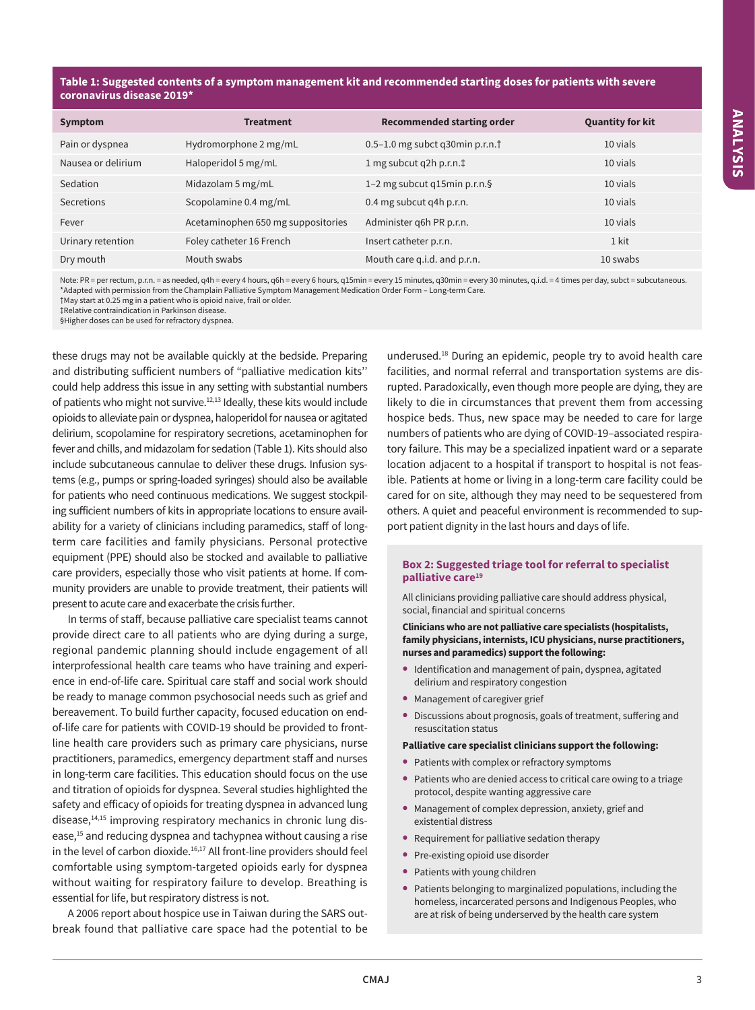# **Table 1: Suggested contents of a symptom management kit and recommended starting doses for patients with severe coronavirus disease 2019\***

| <b>Symptom</b>     | <b>Treatment</b>                   | <b>Recommended starting order</b> | <b>Quantity for kit</b> |
|--------------------|------------------------------------|-----------------------------------|-------------------------|
| Pain or dyspnea    | Hydromorphone 2 mg/mL              | 0.5–1.0 mg subct q30min p.r.n.†   | 10 vials                |
| Nausea or delirium | Haloperidol 5 mg/mL                | 1 mg subcut q2h p.r.n.‡           | 10 vials                |
| Sedation           | Midazolam 5 mg/mL                  | 1-2 mg subcut q15min p.r.n.§      | 10 vials                |
| Secretions         | Scopolamine 0.4 mg/mL              | 0.4 mg subcut q4h p.r.n.          | 10 vials                |
| Fever              | Acetaminophen 650 mg suppositories | Administer q6h PR p.r.n.          | 10 vials                |
| Urinary retention  | Foley catheter 16 French           | Insert catheter p.r.n.            | 1 kit                   |
| Dry mouth          | Mouth swabs                        | Mouth care g.i.d. and p.r.n.      | 10 swabs                |

Note: PR = per rectum, p.r.n. = as needed, q4h = every 4 hours, q6h = every 6 hours, q15min = every 15 minutes, q30min = every 30 minutes, q.i.d. = 4 times per day, subct = subcutaneous. \*Adapted with permission from the Champlain Palliative Symptom Management Medication Order Form – Long-term Care. †May start at 0.25 mg in a patient who is opioid naive, frail or older.

‡Relative contraindication in Parkinson disease.

§Higher doses can be used for refractory dyspnea.

these drugs may not be available quickly at the bedside. Preparing and distributing sufficient numbers of "palliative medication kits'' could help address this issue in any setting with substantial numbers of patients who might not survive.<sup>12,13</sup> Ideally, these kits would include opioids to alleviate pain or dyspnea, haloperidol for nausea or agitated delirium, scopolamine for respiratory secretions, acetaminophen for fever and chills, and midazolam for sedation (Table 1). Kits should also include subcutaneous cannulae to deliver these drugs. Infusion systems (e.g., pumps or spring-loaded syringes) should also be available for patients who need continuous medications. We suggest stockpiling sufficient numbers of kits in appropriate locations to ensure availability for a variety of clinicians including paramedics, staff of longterm care facilities and family physicians. Personal protective equipment (PPE) should also be stocked and available to palliative care providers, especially those who visit patients at home. If community providers are unable to provide treatment, their patients will present to acute care and exacerbate the crisis further.

In terms of staff, because palliative care specialist teams cannot provide direct care to all patients who are dying during a surge, regional pandemic planning should include engagement of all interprofessional health care teams who have training and experience in end-of-life care. Spiritual care staff and social work should be ready to manage common psychosocial needs such as grief and bereavement. To build further capacity, focused education on endof-life care for patients with COVID-19 should be provided to frontline health care providers such as primary care physicians, nurse practitioners, paramedics, emergency department staff and nurses in long-term care facilities. This education should focus on the use and titration of opioids for dyspnea. Several studies highlighted the safety and efficacy of opioids for treating dyspnea in advanced lung disease,<sup>14,15</sup> improving respiratory mechanics in chronic lung disease,<sup>15</sup> and reducing dyspnea and tachypnea without causing a rise in the level of carbon dioxide.<sup>16,17</sup> All front-line providers should feel comfortable using symptom-targeted opioids early for dyspnea without waiting for respiratory failure to develop. Breathing is essential for life, but respiratory distress is not.

A 2006 report about hospice use in Taiwan during the SARS outbreak found that palliative care space had the potential to be underused.18 During an epidemic, people try to avoid health care facilities, and normal referral and transportation systems are disrupted. Paradoxically, even though more people are dying, they are likely to die in circumstances that prevent them from accessing hospice beds. Thus, new space may be needed to care for large numbers of patients who are dying of COVID-19–associated respiratory failure. This may be a specialized inpatient ward or a separate location adjacent to a hospital if transport to hospital is not feasible. Patients at home or living in a long-term care facility could be cared for on site, although they may need to be sequestered from others. A quiet and peaceful environment is recommended to support patient dignity in the last hours and days of life.

## **Box 2: Suggested triage tool for referral to specialist palliative care19**

All clinicians providing palliative care should address physical, social, financial and spiritual concerns

## **Clinicians who are not palliative care specialists (hospitalists, family physicians, internists, ICU physicians, nurse practitioners, nurses and paramedics) support the following:**

- **•** Identification and management of pain, dyspnea, agitated delirium and respiratory congestion
- **•** Management of caregiver grief
- **•** Discussions about prognosis, goals of treatment, suffering and resuscitation status

## **Palliative care specialist clinicians support the following:**

- **•** Patients with complex or refractory symptoms
- **•** Patients who are denied access to critical care owing to a triage protocol, despite wanting aggressive care
- **•** Management of complex depression, anxiety, grief and existential distress
- **•** Requirement for palliative sedation therapy
- **•** Pre-existing opioid use disorder
- **•** Patients with young children
- **•** Patients belonging to marginalized populations, including the homeless, incarcerated persons and Indigenous Peoples, who are at risk of being underserved by the health care system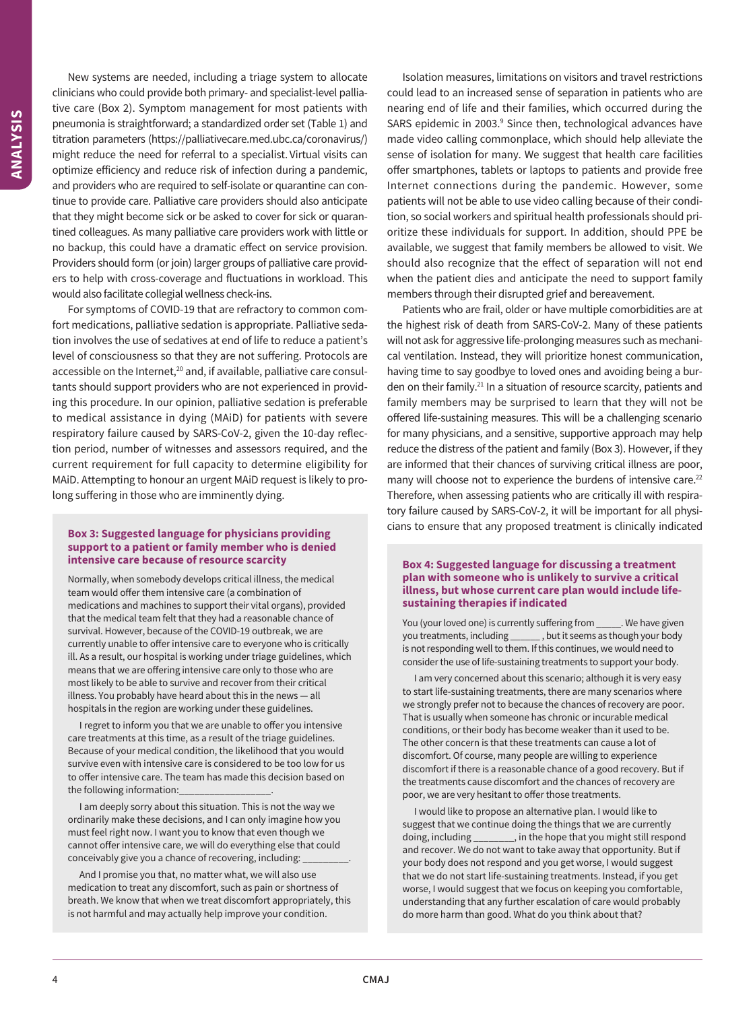New systems are needed, including a triage system to allocate clinicians who could provide both primary- and specialist-level palliative care (Box 2). Symptom management for most patients with pneumonia is straightforward; a standardized order set (Table 1) and titration parameters (https://palliativecare.med.ubc.ca/coronavirus/) might reduce the need for referral to a specialist. Virtual visits can optimize efficiency and reduce risk of infection during a pandemic, and providers who are required to self-isolate or quarantine can continue to provide care. Palliative care providers should also anticipate that they might become sick or be asked to cover for sick or quarantined colleagues. As many palliative care providers work with little or no backup, this could have a dramatic effect on service provision. Providers should form (or join) larger groups of palliative care providers to help with cross-coverage and fluctuations in workload. This would also facilitate collegial wellness check-ins.

For symptoms of COVID-19 that are refractory to common comfort medications, palliative sedation is appropriate. Palliative sedation involves the use of sedatives at end of life to reduce a patient's level of consciousness so that they are not suffering. Protocols are accessible on the Internet,<sup>20</sup> and, if available, palliative care consultants should support providers who are not experienced in providing this procedure. In our opinion, palliative sedation is preferable to medical assistance in dying (MAiD) for patients with severe respiratory failure caused by SARS-CoV-2, given the 10-day reflection period, number of witnesses and assessors required, and the current requirement for full capacity to determine eligibility for MAiD. Attempting to honour an urgent MAiD request is likely to prolong suffering in those who are imminently dying.

# **support to a patient or family member who is denied intensive care because of resource scarcity**

Normally, when somebody develops critical illness, the medical team would offer them intensive care (a combination of medications and machines to support their vital organs), provided that the medical team felt that they had a reasonable chance of survival. However, because of the COVID-19 outbreak, we are currently unable to offer intensive care to everyone who is critically ill. As a result, our hospital is working under triage guidelines, which means that we are offering intensive care only to those who are most likely to be able to survive and recover from their critical illness. You probably have heard about this in the news — all hospitals in the region are working under these guidelines.

I regret to inform you that we are unable to offer you intensive care treatments at this time, as a result of the triage guidelines. Because of your medical condition, the likelihood that you would survive even with intensive care is considered to be too low for us to offer intensive care. The team has made this decision based on the following information:

I am deeply sorry about this situation. This is not the way we ordinarily make these decisions, and I can only imagine how you must feel right now. I want you to know that even though we cannot offer intensive care, we will do everything else that could conceivably give you a chance of recovering, including: \_\_\_\_\_\_\_\_\_.

And I promise you that, no matter what, we will also use medication to treat any discomfort, such as pain or shortness of breath. We know that when we treat discomfort appropriately, this is not harmful and may actually help improve your condition.

Isolation measures, limitations on visitors and travel restrictions could lead to an increased sense of separation in patients who are nearing end of life and their families, which occurred during the SARS epidemic in 2003.<sup>9</sup> Since then, technological advances have made video calling commonplace, which should help alleviate the sense of isolation for many. We suggest that health care facilities offer smartphones, tablets or laptops to patients and provide free Internet connections during the pandemic. However, some patients will not be able to use video calling because of their condition, so social workers and spiritual health professionals should prioritize these individuals for support. In addition, should PPE be available, we suggest that family members be allowed to visit. We should also recognize that the effect of separation will not end when the patient dies and anticipate the need to support family members through their disrupted grief and bereavement.

Patients who are frail, older or have multiple comorbidities are at the highest risk of death from SARS-CoV-2. Many of these patients will not ask for aggressive life-prolonging measures such as mechanical ventilation. Instead, they will prioritize honest communication, having time to say goodbye to loved ones and avoiding being a burden on their family.<sup>21</sup> In a situation of resource scarcity, patients and family members may be surprised to learn that they will not be offered life-sustaining measures. This will be a challenging scenario for many physicians, and a sensitive, supportive approach may help reduce the distress of the patient and family (Box 3). However, if they are informed that their chances of surviving critical illness are poor, many will choose not to experience the burdens of intensive care.<sup>22</sup> Therefore, when assessing patients who are critically ill with respiratory failure caused by SARS-CoV-2, it will be important for all physicians to ensure that any proposed treatment is clinically indicated **Box 3: Suggested language for physicians providing** 

## **Box 4: Suggested language for discussing a treatment plan with someone who is unlikely to survive a critical illness, but whose current care plan would include lifesustaining therapies if indicated**

You (your loved one) is currently suffering from \_\_\_\_\_. We have given you treatments, including \_\_\_\_\_\_ , but it seems as though your body is not responding well to them. If this continues, we would need to consider the use of life-sustaining treatments to support your body.

I am very concerned about this scenario; although it is very easy to start life-sustaining treatments, there are many scenarios where we strongly prefer not to because the chances of recovery are poor. That is usually when someone has chronic or incurable medical conditions, or their body has become weaker than it used to be. The other concern is that these treatments can cause a lot of discomfort. Of course, many people are willing to experience discomfort if there is a reasonable chance of a good recovery. But if the treatments cause discomfort and the chances of recovery are poor, we are very hesitant to offer those treatments.

I would like to propose an alternative plan. I would like to suggest that we continue doing the things that we are currently doing, including \_\_\_\_\_\_\_\_, in the hope that you might still respond and recover. We do not want to take away that opportunity. But if your body does not respond and you get worse, I would suggest that we do not start life-sustaining treatments. Instead, if you get worse, I would suggest that we focus on keeping you comfortable, understanding that any further escalation of care would probably do more harm than good. What do you think about that?